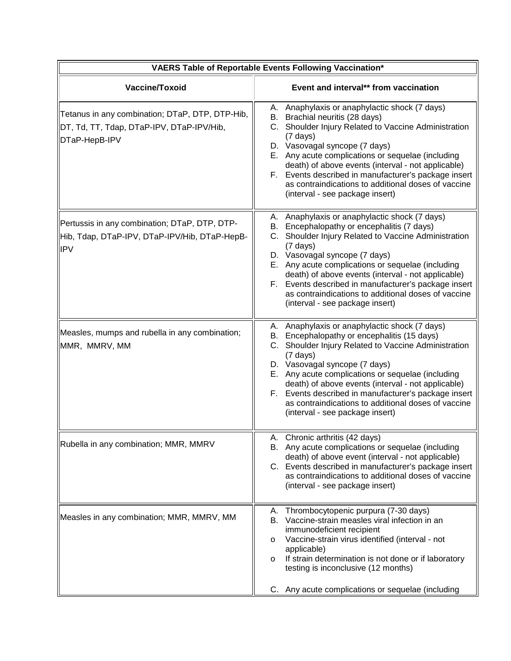| VAERS Table of Reportable Events Following Vaccination*                                                       |                                                                                                                                                                                                                                                                                                                                                                                                                                                                          |
|---------------------------------------------------------------------------------------------------------------|--------------------------------------------------------------------------------------------------------------------------------------------------------------------------------------------------------------------------------------------------------------------------------------------------------------------------------------------------------------------------------------------------------------------------------------------------------------------------|
| Vaccine/Toxoid                                                                                                | Event and interval** from vaccination                                                                                                                                                                                                                                                                                                                                                                                                                                    |
| Tetanus in any combination; DTaP, DTP, DTP-Hib,<br>DT, Td, TT, Tdap, DTaP-IPV, DTaP-IPV/Hib,<br>DTaP-HepB-IPV | A. Anaphylaxis or anaphylactic shock (7 days)<br>B. Brachial neuritis (28 days)<br>C. Shoulder Injury Related to Vaccine Administration<br>$(7 \text{ days})$<br>D. Vasovagal syncope (7 days)<br>E. Any acute complications or sequelae (including<br>death) of above events (interval - not applicable)<br>F. Events described in manufacturer's package insert<br>as contraindications to additional doses of vaccine<br>(interval - see package insert)              |
| Pertussis in any combination; DTaP, DTP, DTP-<br>Hib, Tdap, DTaP-IPV, DTaP-IPV/Hib, DTaP-HepB-<br>IPV         | A. Anaphylaxis or anaphylactic shock (7 days)<br>B. Encephalopathy or encephalitis (7 days)<br>C. Shoulder Injury Related to Vaccine Administration<br>$(7 \text{ days})$<br>D. Vasovagal syncope (7 days)<br>E. Any acute complications or sequelae (including<br>death) of above events (interval - not applicable)<br>F. Events described in manufacturer's package insert<br>as contraindications to additional doses of vaccine<br>(interval - see package insert)  |
| Measles, mumps and rubella in any combination;<br>MMR, MMRV, MM                                               | A. Anaphylaxis or anaphylactic shock (7 days)<br>B. Encephalopathy or encephalitis (15 days)<br>C. Shoulder Injury Related to Vaccine Administration<br>$(7 \text{ days})$<br>D. Vasovagal syncope (7 days)<br>E. Any acute complications or sequelae (including<br>death) of above events (interval - not applicable)<br>F. Events described in manufacturer's package insert<br>as contraindications to additional doses of vaccine<br>(interval - see package insert) |
| Rubella in any combination; MMR, MMRV                                                                         | A. Chronic arthritis (42 days)<br>B. Any acute complications or sequelae (including<br>death) of above event (interval - not applicable)<br>C. Events described in manufacturer's package insert<br>as contraindications to additional doses of vaccine<br>(interval - see package insert)                                                                                                                                                                               |
| Measles in any combination; MMR, MMRV, MM                                                                     | Thrombocytopenic purpura (7-30 days)<br>А.<br>Vaccine-strain measles viral infection in an<br>В.<br>immunodeficient recipient<br>Vaccine-strain virus identified (interval - not<br>$\circ$<br>applicable)<br>If strain determination is not done or if laboratory<br>$\circ$<br>testing is inconclusive (12 months)<br>Any acute complications or sequelae (including<br>C.                                                                                             |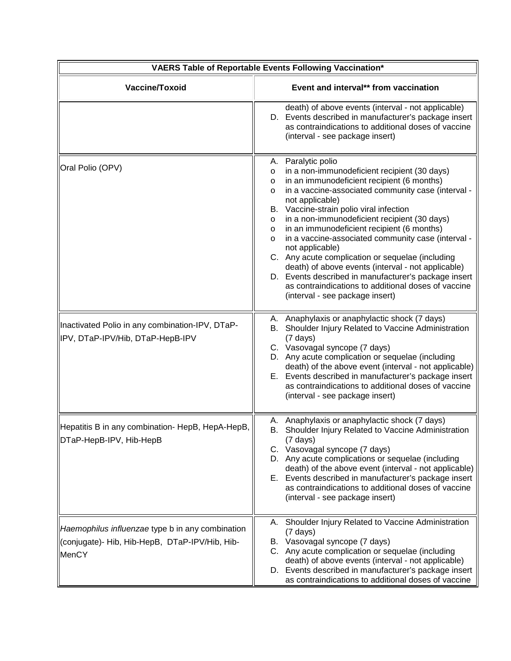| VAERS Table of Reportable Events Following Vaccination*                                                     |                                                                                                                                                                                                                                                                                                                                                                                                                                                                                                                                                                                                                                                                                                                                  |  |
|-------------------------------------------------------------------------------------------------------------|----------------------------------------------------------------------------------------------------------------------------------------------------------------------------------------------------------------------------------------------------------------------------------------------------------------------------------------------------------------------------------------------------------------------------------------------------------------------------------------------------------------------------------------------------------------------------------------------------------------------------------------------------------------------------------------------------------------------------------|--|
| Vaccine/Toxoid                                                                                              | Event and interval** from vaccination                                                                                                                                                                                                                                                                                                                                                                                                                                                                                                                                                                                                                                                                                            |  |
|                                                                                                             | death) of above events (interval - not applicable)<br>D. Events described in manufacturer's package insert<br>as contraindications to additional doses of vaccine<br>(interval - see package insert)                                                                                                                                                                                                                                                                                                                                                                                                                                                                                                                             |  |
| Oral Polio (OPV)                                                                                            | Paralytic polio<br>А.<br>in a non-immunodeficient recipient (30 days)<br>$\circ$<br>in an immunodeficient recipient (6 months)<br>$\circ$<br>in a vaccine-associated community case (interval -<br>$\circ$<br>not applicable)<br>B. Vaccine-strain polio viral infection<br>in a non-immunodeficient recipient (30 days)<br>O<br>in an immunodeficient recipient (6 months)<br>O<br>in a vaccine-associated community case (interval -<br>$\circ$<br>not applicable)<br>C. Any acute complication or sequelae (including<br>death) of above events (interval - not applicable)<br>D. Events described in manufacturer's package insert<br>as contraindications to additional doses of vaccine<br>(interval - see package insert) |  |
| Inactivated Polio in any combination-IPV, DTaP-<br>IPV, DTaP-IPV/Hib, DTaP-HepB-IPV                         | A. Anaphylaxis or anaphylactic shock (7 days)<br>B. Shoulder Injury Related to Vaccine Administration<br>$(7 \text{ days})$<br>C. Vasovagal syncope (7 days)<br>D. Any acute complication or sequelae (including<br>death) of the above event (interval - not applicable)<br>E. Events described in manufacturer's package insert<br>as contraindications to additional doses of vaccine<br>(interval - see package insert)                                                                                                                                                                                                                                                                                                      |  |
| Hepatitis B in any combination- HepB, HepA-HepB,<br>DTaP-HepB-IPV, Hib-HepB                                 | A. Anaphylaxis or anaphylactic shock (7 days)<br>Shoulder Injury Related to Vaccine Administration<br>В.<br>$(7 \text{ days})$<br>C. Vasovagal syncope (7 days)<br>D. Any acute complications or sequelae (including<br>death) of the above event (interval - not applicable)<br>E. Events described in manufacturer's package insert<br>as contraindications to additional doses of vaccine<br>(interval - see package insert)                                                                                                                                                                                                                                                                                                  |  |
| Haemophilus influenzae type b in any combination<br>(conjugate)- Hib, Hib-HepB, DTaP-IPV/Hib, Hib-<br>MenCY | Shoulder Injury Related to Vaccine Administration<br>А.<br>$(7 \text{ days})$<br>B. Vasovagal syncope (7 days)<br>C. Any acute complication or sequelae (including<br>death) of above events (interval - not applicable)<br>D. Events described in manufacturer's package insert<br>as contraindications to additional doses of vaccine                                                                                                                                                                                                                                                                                                                                                                                          |  |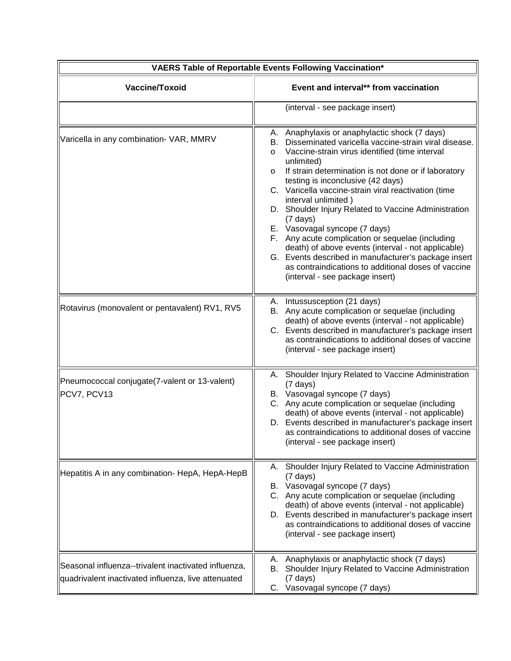| <b>VAERS Table of Reportable Events Following Vaccination*</b>                                              |                                                                                                                                                                                                                                                                                                                                                                                                                                                                                                                                                                                                                                                                                                                                                       |  |
|-------------------------------------------------------------------------------------------------------------|-------------------------------------------------------------------------------------------------------------------------------------------------------------------------------------------------------------------------------------------------------------------------------------------------------------------------------------------------------------------------------------------------------------------------------------------------------------------------------------------------------------------------------------------------------------------------------------------------------------------------------------------------------------------------------------------------------------------------------------------------------|--|
| Vaccine/Toxoid                                                                                              | Event and interval** from vaccination                                                                                                                                                                                                                                                                                                                                                                                                                                                                                                                                                                                                                                                                                                                 |  |
|                                                                                                             | (interval - see package insert)                                                                                                                                                                                                                                                                                                                                                                                                                                                                                                                                                                                                                                                                                                                       |  |
| Varicella in any combination- VAR, MMRV                                                                     | A. Anaphylaxis or anaphylactic shock (7 days)<br>B. Disseminated varicella vaccine-strain viral disease.<br>Vaccine-strain virus identified (time interval<br>$\circ$<br>unlimited)<br>If strain determination is not done or if laboratory<br>$\circ$<br>testing is inconclusive (42 days)<br>C. Varicella vaccine-strain viral reactivation (time<br>interval unlimited)<br>D. Shoulder Injury Related to Vaccine Administration<br>$(7 \text{ days})$<br>E. Vasovagal syncope (7 days)<br>F. Any acute complication or sequelae (including<br>death) of above events (interval - not applicable)<br>G. Events described in manufacturer's package insert<br>as contraindications to additional doses of vaccine<br>(interval - see package insert) |  |
| Rotavirus (monovalent or pentavalent) RV1, RV5                                                              | A. Intussusception (21 days)<br>B. Any acute complication or sequelae (including<br>death) of above events (interval - not applicable)<br>C. Events described in manufacturer's package insert<br>as contraindications to additional doses of vaccine<br>(interval - see package insert)                                                                                                                                                                                                                                                                                                                                                                                                                                                              |  |
| Pneumococcal conjugate(7-valent or 13-valent)<br>PCV7, PCV13                                                | A. Shoulder Injury Related to Vaccine Administration<br>$(7 \text{ days})$<br>B. Vasovagal syncope (7 days)<br>C. Any acute complication or sequelae (including<br>death) of above events (interval - not applicable)<br>D. Events described in manufacturer's package insert<br>as contraindications to additional doses of vaccine<br>(interval - see package insert)                                                                                                                                                                                                                                                                                                                                                                               |  |
| Hepatitis A in any combination- HepA, HepA-HepB                                                             | Shoulder Injury Related to Vaccine Administration<br>А.<br>$(7 \text{ days})$<br>B. Vasovagal syncope (7 days)<br>C. Any acute complication or sequelae (including<br>death) of above events (interval - not applicable)<br>D. Events described in manufacturer's package insert<br>as contraindications to additional doses of vaccine<br>(interval - see package insert)                                                                                                                                                                                                                                                                                                                                                                            |  |
| Seasonal influenza--trivalent inactivated influenza,<br>quadrivalent inactivated influenza, live attenuated | A. Anaphylaxis or anaphylactic shock (7 days)<br>Shoulder Injury Related to Vaccine Administration<br>В.<br>$(7 \text{ days})$<br>C. Vasovagal syncope (7 days)                                                                                                                                                                                                                                                                                                                                                                                                                                                                                                                                                                                       |  |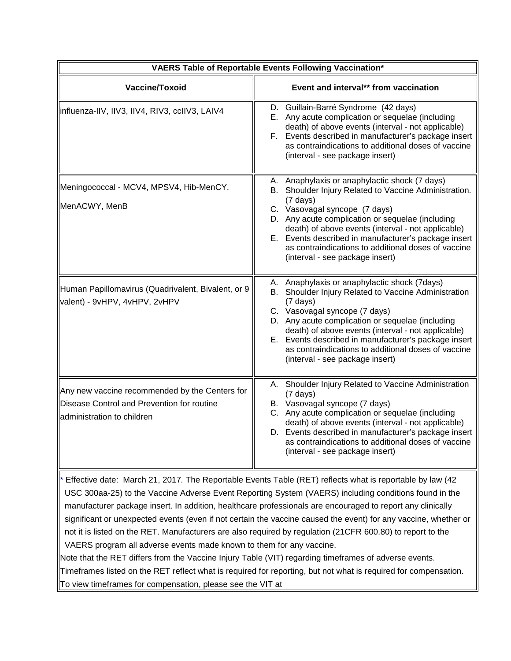| VAERS Table of Reportable Events Following Vaccination*                                                                    |                                                                                                                                                                                                                                                                                                                                                                                                                           |  |
|----------------------------------------------------------------------------------------------------------------------------|---------------------------------------------------------------------------------------------------------------------------------------------------------------------------------------------------------------------------------------------------------------------------------------------------------------------------------------------------------------------------------------------------------------------------|--|
| Vaccine/Toxoid                                                                                                             | Event and interval** from vaccination                                                                                                                                                                                                                                                                                                                                                                                     |  |
| influenza-IIV, IIV3, IIV4, RIV3, ccIIV3, LAIV4                                                                             | D. Guillain-Barré Syndrome (42 days)<br>E. Any acute complication or sequelae (including<br>death) of above events (interval - not applicable)<br>F. Events described in manufacturer's package insert<br>as contraindications to additional doses of vaccine<br>(interval - see package insert)                                                                                                                          |  |
| Meningococcal - MCV4, MPSV4, Hib-MenCY,<br>MenACWY, MenB                                                                   | A. Anaphylaxis or anaphylactic shock (7 days)<br>B. Shoulder Injury Related to Vaccine Administration.<br>$(7 \text{ days})$<br>C. Vasovagal syncope (7 days)<br>D. Any acute complication or sequelae (including<br>death) of above events (interval - not applicable)<br>E. Events described in manufacturer's package insert<br>as contraindications to additional doses of vaccine<br>(interval - see package insert) |  |
| Human Papillomavirus (Quadrivalent, Bivalent, or 9<br>valent) - 9vHPV, 4vHPV, 2vHPV                                        | A. Anaphylaxis or anaphylactic shock (7days)<br>B. Shoulder Injury Related to Vaccine Administration<br>$(7 \text{ days})$<br>C. Vasovagal syncope (7 days)<br>D. Any acute complication or sequelae (including<br>death) of above events (interval - not applicable)<br>E. Events described in manufacturer's package insert<br>as contraindications to additional doses of vaccine<br>(interval - see package insert)   |  |
| Any new vaccine recommended by the Centers for<br>Disease Control and Prevention for routine<br>administration to children | A. Shoulder Injury Related to Vaccine Administration<br>$(7 \text{ days})$<br>B. Vasovagal syncope (7 days)<br>C. Any acute complication or sequelae (including<br>death) of above events (interval - not applicable)<br>D. Events described in manufacturer's package insert<br>as contraindications to additional doses of vaccine<br>(interval - see package insert)                                                   |  |
|                                                                                                                            | * Effective date: March 21, 2017. The Reportable Events Table (RET) reflects what is reportable by law (42                                                                                                                                                                                                                                                                                                                |  |

\* Effective date: March 21, 2017*.* The Reportable Events Table (RET) reflects what is reportable by law (42 USC 300aa-25) to the Vaccine Adverse Event Reporting System (VAERS) including conditions found in the manufacturer package insert. In addition, healthcare professionals are encouraged to report any clinically significant or unexpected events (even if not certain the vaccine caused the event) for any vaccine, whether or not it is listed on the RET. Manufacturers are also required by regulation (21CFR 600.80) to report to the VAERS program all adverse events made known to them for any vaccine.

Note that the RET differs from the Vaccine Injury Table (VIT) regarding timeframes of adverse events.

Timeframes listed on the RET reflect what is required for reporting, but not what is required for compensation. To view timeframes for compensation, please see the VIT at